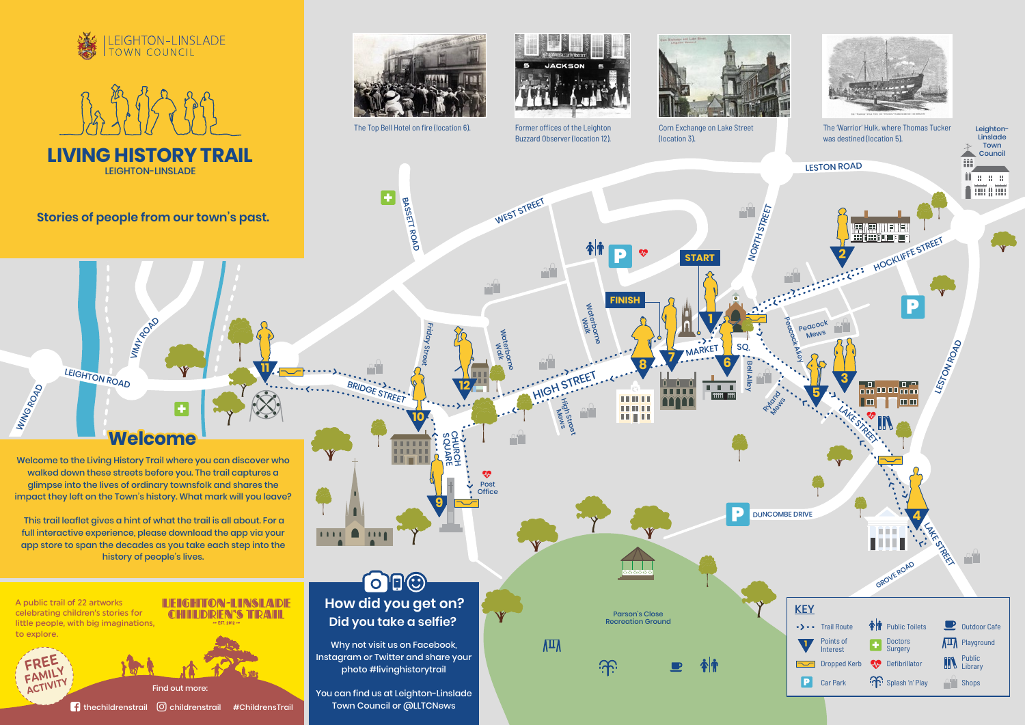SQUARE **CHURCH** 

Waterborne Walk

 $\mathcal{P}_{\mathcal{A}}$ 

HIGH STREET

 $\mathbb{P}^1$ 

High Street Wews

 $\sqrt{11}$ 

<u> ကြ</u>

Waterborne  $\leq$ 

P

**11**

LEIGHTON ROAD

**9**

**8**

**THEFT** 

111111 ш

 $\boldsymbol{\mathcal{P}}$ 

**10**

**HILL** man

**FINISH**

Friday Street

**+**

BRIDGE STREET

**+**

VIMY ROAD

**12**

 $\boldsymbol{\Phi}$ Post **Office** 







The Top Bell Hotel on fire (location 6). Corn Exchange on Lake Street



LEIGHTON-LINSLADE

# BASSETT ROAD

**Stories of people from our town's past.**

#### $\bigcirc$ B $\bigcirc$ **How did you get on? Did you take a selfie?**

 $1111$ 

 $\blacksquare$ 

 $\mathbf{H}$ 

**Welcome**

A public trail of 22 artworks celebrating children's stories for little people, with big imaginations, to explore.

Welcome to the Living History Trail where you can discover who walked down these streets before you. The trail captures a glimpse into the lives of ordinary townsfolk and shares the impact they left on the Town's history. What mark will you leave?



 This trail leaflet gives a hint of what the trail is all about. For a full interactive experience, please download the app via your app store to span the decades as you take each step into the history of people's lives.



WEST STREET

Why not visit us on Facebook, Instagram or Twitter and share your photo #livinghistorytrail

You can find us at Leighton-Linslade Town Council or @LLTCNews

Find out more:

 $\Box$  thechildrenstrail  $\Box$  childrenstrail #ChildrensTrail

**FREE FAMILY ACTIVITY**

WING ROAD

#### **ILIEIGHITON-LINSLADI CHILDREN'S TRAIL**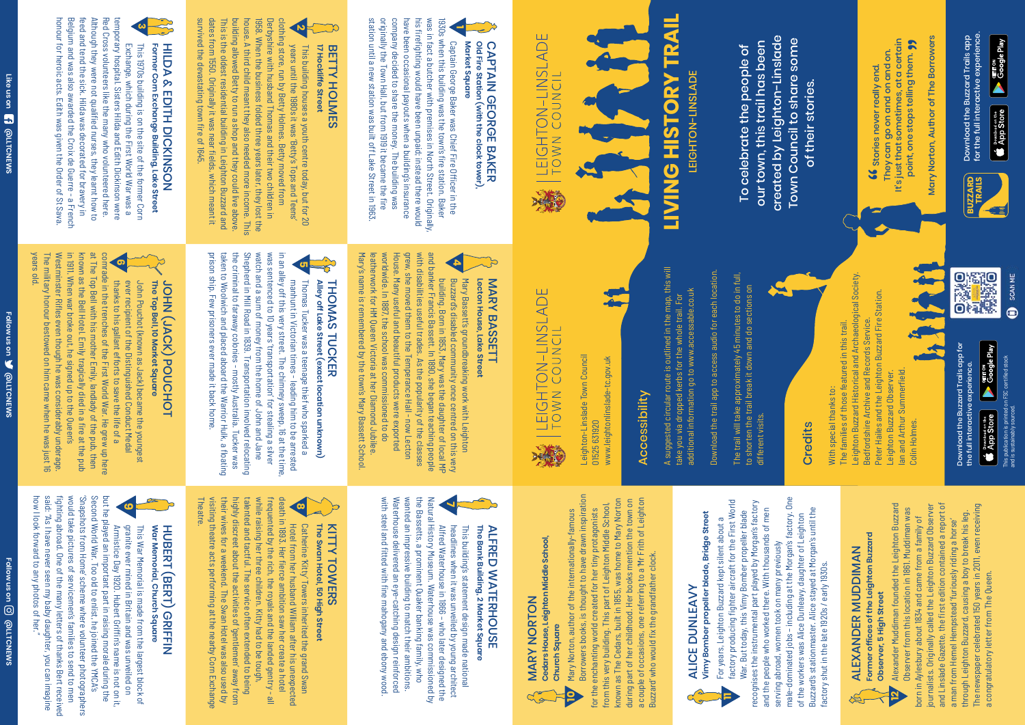company decided to share the money. The building was<br>originally the Town Hall, but from 1919 it became the fire station until a new station was built off Lake Street in 1963 station until a new station was built off Lake Street in 1963. originally the Town Hall, but from 1919 it became the fire company decided to share the money. The building was have been occasional payouts when a building's insurance have been occasional payouts when a building's insurance his firefighting would have been unpaid; instead there would his firefighting would have been unpaid; instead there would was in fact a butcher with premises in North Street. Originally, was in fact a butcher with premises in North Street. Originally, 1930s when this building was the town's fire station. Baker 1930s when this building was the town's fire station. Baker **1** Captain George Baker was Chief Fire Officer in the Captain George Baker was Chief Fire Officer in the **Market Square**

### Old Fire Station (with the clock tower) **CAPTAIN GEORGE BAKER Old Fire Station (with the clock tower),**  CAPTAIN GEORGE BAKER

Market Square

Belgium and was also awarded the Croix de Guerre - a French Although they were not qualified nurses, they learnt how to Red Cross volunteers like the many who volunteered here. honour for heroic acts. Edith was given the Order of St Sava. feed and tend the sick. Hilda was decorated for bravery in feed and tend the sick. Hilda was decorated for bravery in Although they were not qualified nurses, they learnt how to temporary hospital. Sisters Hilda and Edith Dickinson were temporary hospital. Sisters Hilda and Edith Dickinson were honour for heroic acts. Edith was given the Order of St Sava. Belgium and was also awarded the Croix de Guerre - a French Red Cross volunteers like the many who volunteered here. **3** This 1970s building is on the site of the former Corn Exchange, which during the First World War was a Exchange, which during the First World War was a This 1970s building is on the site of the former Corn

# Former Corn Exchange Building, Lake Street HIDA & EDITH DIOKINSON **Former Corn Exchange Building, Lake Street** HILDA & EDITH DICKINSON

1958. When the business folded three years later, they lost the<br>house. A third child meant they also needed more income. This survived the devastating town fire of 1645 survived the devastating town fire of 1645. This is the oldest residential building in Leighton Buzzard and<br>dates from 1550. Originally it was near fields, which meant it dates from 1550. Originally it was near fields, which meant it This is the oldest residential building in Leighton Buzzard and building allowed Betty to run a shop and they could live above building allowed Betty to run a shop and they could live above. house. A third child meant they also needed more income. This 1958. When the business folded three years later, they lost the Derbyshire with husband Thomas and their two children in **7** This building nouses a youth centre today, but tor 2<br>years until the 1980s it was 'Betty's Tops and Teens'<br>clothing store, run by Betty Holmes. Betty moved from clothing store, run by Betty Holmes. Betty moved from Derbyshire with husband Thomas and their two children in This building houses a youth centre today, but for 20 years until the 1980s it was 'Betty's Tops and Teens' This building houses a youth centre today, but for 20

#### **17 Hockliffe Street** BETTY HOLMES **17 Hockliffe Street** BETTY HOLMES

thanks to his gallant efforts to save the life of a ever recipient of the Distinguished Conduct Medal John Pouchot (known as Jack) became the youngest

ever recipient of the Distinguished Conduct Medal John Pouchot (known as Jack) became the youngest

thanks to his gallant efforts to save the life of a

comrade in the trenches of the First World War. He grew up here

<u>ဖ</u>

**The Top Bell, 10 Market Square**

The Top Bell, 10 Market Square

JOHN (JACK) POUCHOT

JOHN (JACK) POUCHOT

years old.

The military honour bestowed on him came when he was just 16 Westminster Rifles even though he was considerably underage.

The military honour bestowed on him came when he was just 16

Westminster Rifles even though he was considerably underage

**EQUAREMS @LLTCNEWS** 

Follow us on **W** @LLTCNEWS

in 1911. When war broke out, he signed up to the Queen's

**War Memorial, Church Square** HUBERT (BERT) GRIFFIN

**HUBERH (BERH) GENTEN** 

War Memorial, Church Square

known as the Bell Hotel. Emily tragically died in a fire at the pub at The Top Bell with his mother Emily, landlady of the pub, then comrade in the trenches of the First World War. He grew up here

at The Top Bell with his mother Emily, landlady of the pub, then

known as the Bell Hotel. Emily tragically died in a fire at the pub<br>in 1911. When war broke out, he signed up to the Queen's

Alfred Waterhouse in 1866 – who later designed the headlines when it was unveiled by young architect This building's statement design made national

headlines when it was unveiled by young architect

This building's statement design made national

Alfred Waterhouse in 1866 – who later designed the<br>Natural History Museum. Waterhouse was commissioned by

**The Bank Building, 2 Market Square** ALFRED WATERHOUSE

The Bank Building, 2 Market Square

**ALFRED WATERHOUSE** 

with steel and fitted with fine mahogany and ebony wood. Waterhouse delivered an eye-catching design reinforced wanted an impressive building to match their ambitions. the Bassetts, a prominent Quaker banking family, who Natural History Museum. Waterhouse was commissioned by

Waterhouse delivered an eye-catching design reinforced<br>with steel and fitted with fine mahogany and ebony wood

wanted an impressive building to match their ambitions the Bassetts, a prominent Quaker banking family, who

our town, this trail has been our town, this trail has been To celebrate the people of To celebrate the people of

manhunt in Victorian times - leading him to be arrested Thomas Tucker was a teenage thief who sparked a **Alley off Lake Street (exact location unknown)**

Thomas Tucker was a teenage thief who sparked a

The manhunt in Victorian times - leading him to be arrested<br>in an alley off this very street. The chimney sweep, 16 at the time,

was sentenced to 10 years' transportation' for stealing a silver

**8** Catherine 'Kitty' Towers inherited the grand Swan Hotel from her husband William after his unexpected death in 1893. Her fierce ambition saw her create a hotel<br>death in 1893. Her fierce ambition saw her create a hotel

while raising her three children. Kitty had to be tough,<br>talented and tactful. The service often extended to being

frequented by the rich, the royals and the landed gentry - all

THOMAS TUCKER

THOMAS TUCKER

Alley off Lake Street (exact location unknown)

prison ship. Few prisoners ever made it back home.

prison ship. Few prisoners ever made it back home.

**Theatre** 

## **TRAIL LIVING HISTORY TRAIL** LEIGHTON-LINSLADE **LIVING HISTORY** LEIGHTON-LINSLADE



It's just that sometimes, at a certain point, one stops telling them. 99 point, one stops telling them. **99**<br>Norton Author of The Borrower They can go on and on and on. Stories never really end. **SE** 

Mary Norton, Author of The Borrowers Mary Norton, Author of The Borrowers Download the Buzzard Trails app<br>for the full interactive experience. for the full interactive experience.

taken to Woolwich and placed aboard the Warrior Hulk, a floating the criminal to faraway colonies - mostly Australia. Tucker was Shepherd in Mill Road in 1839. Transportation involved relocating watch and a sum of money from the home of John and Jane was sentenced to 10 years 'transportation' for stealing a silver in an alley off this very street. The chimney sweep, 16 at the time,

taken to Woolwich and placed aboard the Warrior Hulk, a floating the criminal to faraway colonies - mostly Australia. Tucker was

watch and a sum of money from the home of John and Jane<br>Shepherd in Mill Road in 1839. Transportation involved relocating

additional information go to www.accessable.co.uk additional information go to www.accessable.co.uk take you via dropped kerbs for the whole trail. For take you via dropped kerbs for the whole trail. For

Download the trail app to access audio for each location. Download the trail app to access audio for each location.

13

factory producing fighter aircraft for the First World<br>War. But today, this Vimy Bomber propeller blade

recognises the instrumental part played by Morgan's factory

and the people who worked there. With thousands of men

The trail will take approximately 45 minutes to do in full,<br>to shorten the trail break it down and do sections on different visits. different visits.

building. Born in 1853, Mary was the daughter of local MP Buzzard's disabled community once centred on this very Mary Bassett's groundbreaking work with Leighton

Buzzard's disabled community once centred on this very Mary Bassett's groundbreaking work with Leightor

building. Born in 1853, Mary was the daughter of local MP<br>and banker Francis Bassett. In 1890, she began teaching people

11973 Leighton Buzzard Historical and Archaeological Society.<br>Bedfordshire Archive and Records Service. Leighton Buzzard Historical and Archaeological Society. Peter Hailes and the Leighton Buzzard Fire Station. Peter Hailes and the Leighton Buzzard Fire Station. Bedfordshire Archive and Records Service. The families of those featured in this trail. The families of those featured in this trail. lan and Arthur Summerfield. Ian and Arthur Summerfield. Leighton Buzzard Observer. Leighton Buzzard Observer. With special thanks to: With special thanks to: Colin Holmes. Colin Holmes.



**Lecton House, Lake Street** MARY BASSETT

Lecton House, Lake Street

MARY BASSETT

Mary's name is remembered by the town's Mary Bassett School. leatherwork for HM Queen Victoria at her Diamond Jubilee. worldwide. In 1887, the school was commissioned to do House. Many useful and beautiful products were exported grew, she moved them to the Temperance Hall - now Lecton with disabilities useful trades. As the popularity of the classes and banker Francis Bassett. In 1890, she began teaching people

Mary's name is remembered by the town's Mary Bassett School. leatherwork for HM Queen Victoria at her Diamond Jubilee

House. Many useful and beautiful products were exported<br>worldwide. In 1887, the school was commissioned to do

grew, she moved them to the Temperance Hall - now Lecton with disabilities useful trades. As the popularity of the classes

> Alexander Muddiman founded the Leighton Buzzard<br>Observer from this location in 1861. Muddiman was Alexander Muddiman founded the Leighton Buzzard and Linslade Gazette, the first edition contained a report of The newspaper celebrated 150 years in 2011, even receiving journalists. Originally called the Leighton Buzzard Observer and Linslade Gazette, the first edition contained a report of through Leighton Buzzard, causing a boy to break his leg.<br>The newspaper celebrated 150 years in 2011, even receiving journalists. Originally called the Leighton Buzzard Observer Observer from this location in 1861. Muddiman was through Leighton Buzzard, causing a boy to break his leg. born in Aylesbury about 1834 and came from a family of born in Aylesbury about 1834 and came from a family of a man from Hemel Hempstead 'furiously riding a horse' a man from Hemel Hempstead 'furiously riding a horse' a congratulatory letter from The Queen. a congratulatory letter from The Queen.

**6**

**5**

**4**

Hotel from her husband William after his unexpected Catherine 'Kitty' Towers inherited the grand Swan

Catherine 'Kitty' Towers inherited the grand Swan

**The Swan Hotel, 50 High Street**

The Swan Hotel, 50 High Street

KITTY TOWERS

KITTY TOWERS

Armistice Day 1920. Hubert Griffin's name is not on it, granite ever mined in Britain and was unveiled on This War Memorial is made from the largest block of

Armistice Day 1920. Hubert Griffin's name is not on it

This War Memorial is made from the largest block of

how I look forward to any photos of her."

how I look forward to any photos of her.

**Follow us on**  $\overline{\mathbb{O}}$  **@LLTCNEWS** 

Follow us on **O** @LLTCNEWS

said: "As I have never seen my baby daughter, you can imagine fighting abroad. One of the many letters of thanks Bert received would take pictures of servicemen's families to send to men 'Snapshots from Home' scheme where volunteer photographers Second World War. Too old to enlist, he joined the YMCA's but he played an important part in raising morale during the

fighting abroad. One of the many letters of thanks Bert received<br>said: "As I have never seen my baby daughter, you can imagine

would take pictures of servicemen's families to send to men 'Snapshots from Home' scheme where volunteer photographers Second World War. Too old to enlist, he joined the YMCA's but he played an important part in raising morale during the

visiting theatre acts performing at the nearby Corn Exchange their wives for a weekend. The Swan Hotel was also used by highly discreet about the activities of 'gentlemen' away from talented and tactful. The service often extended to being while raising her three children. Kitty had to be tough, frequented by the rich, the royals and the landed gentry - all death in 1893. Her fierce ambition saw her create a hotel

visiting theatre acts performing at the nearby Corn Exchang

their wives for a weekend. The Swan Hotel was also used by

highly discreet about the activities of 'gentlemen' away from

 **@LLTCNEWS Like us on**

Like us on **1** @LITCNEWS

created by Leighton-Linslade created by Leighton-Linslade Town Council to share some Town Council to share some of their stories. of their stories.

ALICE DUNLEAVY

 $C_{\mathcal{F}}^{\Delta}$ 

**ALICE DUNLEAVY** 

**Vimy Bomber propeller blade, Bridge Street** For years, Leighton Buzzard kept silent about a factory producing fighter aircraft for the First World War. But today, this Vimy Bomber propeller blade recognises the instrumental part played by Morgan's factory and the people who worked there. With thousands of men

For years, Leighton Buzzard kept silent about a

Vimy Bomber propeller blade, Bridge Street

male-dominated jobs – including at the Morgan's factory. One male-dominated jobs - including at the Morgan's factory. One Buzzard's stationmaster. Alice stayed at Morgan's until the Buzzard's stationmaster. Alice stayed at Morgan's until the of the workers was Alice Dunleavy, daughter of Leighton of the workers was Alice Dunleavy, daughter of Leighton serving abroad, women took on many previously serving abroad, women took on many previously actory shut in the late 1920s / early 1930s. factory shut in the late 1920s / early 1930s.

Download the Buzzard Trails app



Leighton-Linslade Town Council

Leighton-Linslade Town Council

| LEIGHTON-LINSLADE<br>| Town council

海

01525 631920

01525631920

www.leightonlinslade-tc.gov.uk

www.leightonlinslade-tc.gov.uk

Accessibility

Download the Buzzard Trails app for the full interactive experience.

Download the Buzzard Trails app for<br>the full interactive experience.



ccessibility

# EIGHTON-LINSLADE

A suggested circular route is outlined in the map, this will

A suggested circular route is outlined in the map, this will

The trail will take approximately 45 minutes to do in full,

to shorten the trail break it down and do sections on



This publication is printed on FSC certified stock

App Store **Coogle Play** 

and is sustainably sourced.



**10**

MARY NORTON

**MARY NORTON** 

**Cedars House, Leighton Middle School,** 

Cedars House, Leighton Middle School,

**Church Square**

Church Square

Mary Norton, author of the internationally-famous Borrowers books, is thought to have drawn inspiration

Mary Norton, author of the internationally-famous

Borrowers books, is thought to have drawn inspiration

for the enchanting world created for her tiny protagonists from this very building. This part of Leighton Middle School, known as The Cedars, built in 1855, was home to Mary Norton during part of her childhood. Her books mention the town on a couple of occasions, one referring to a 'Mr Frith of Leighton

for the enchanting world created for her tiny protagonists<br>from this very building. This part of Leighton Middle School,

known as The Cedars, built in 1855, was home to Mary Norton

during part of her childhood. Her books mention the town on a couple of occasions, one referring to a 'Mr Frith of Leighton

Buzzard' who would fix the grandfather clock.

Buzzard' who would fix the grandfather clock.

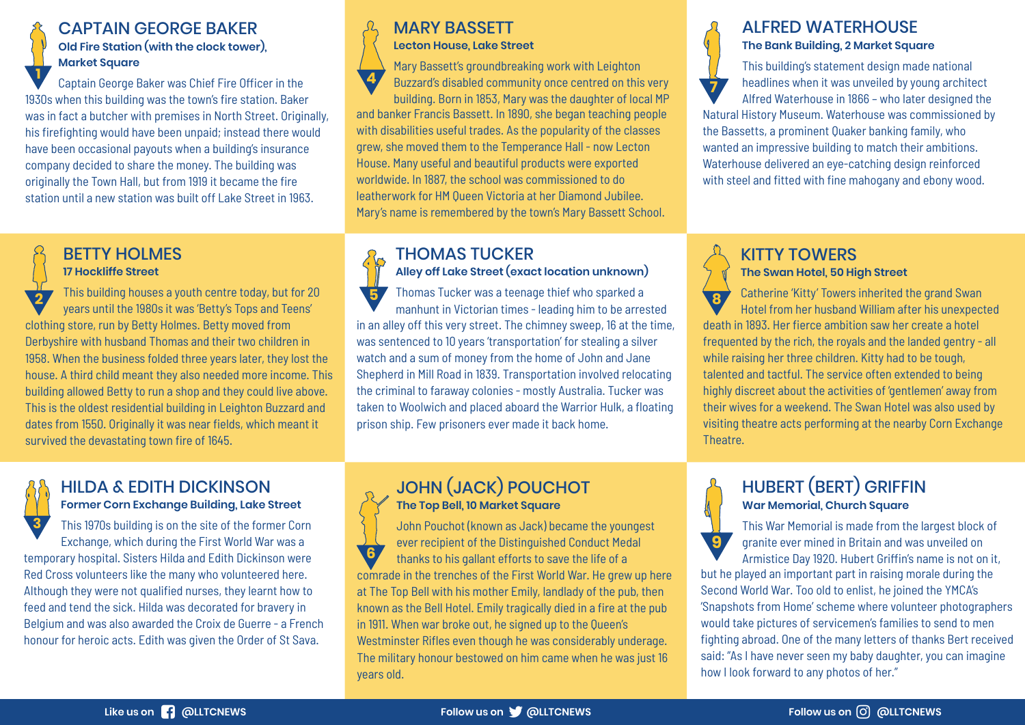#### CAPTAIN GEORGE BAKER **Old Fire Station (with the clock tower), Market Square**

BETTY HOLMES **17 Hockliffe Street**

survived the devastating town fire of 1645.

**1** Captain George Baker was Chief Fire Officer in the 1930s when this building was the town's fire station. Baker was in fact a butcher with premises in North Street. Originally, his firefighting would have been unpaid; instead there would have been occasional payouts when a building's insurance company decided to share the money. The building was originally the Town Hall, but from 1919 it became the fire station until a new station was built off Lake Street in 1963.

> This building houses a youth centre today, but for 20 years until the 1980s it was 'Betty's Tops and Teens'

clothing store, run by Betty Holmes. Betty moved from Derbyshire with husband Thomas and their two children in 1958. When the business folded three years later, they lost the house. A third child meant they also needed more income. This building allowed Betty to run a shop and they could live above. This is the oldest residential building in Leighton Buzzard and dates from 1550. Originally it was near fields, which meant it

**2**

#### HILDA & EDITH DICKINSON **Former Corn Exchange Building, Lake Street**

This 1970s building is on the site of the former Corn Exchange, which during the First World War was a temporary hospital. Sisters Hilda and Edith Dickinson were Red Cross volunteers like the many who volunteered here. Although they were not qualified nurses, they learnt how to feed and tend the sick. Hilda was decorated for bravery in Belgium and was also awarded the Croix de Guerre - a French honour for heroic acts. Edith was given the Order of St Sava. **3**

#### MARY BASSETT **Lecton House, Lake Street**

Mary Bassett's groundbreaking work with Leighton Buzzard's disabled community once centred on this very building. Born in 1853, Mary was the daughter of local MP and banker Francis Bassett. In 1890, she began teaching people with disabilities useful trades. As the popularity of the classes grew, she moved them to the Temperance Hall - now Lecton House. Many useful and beautiful products were exported worldwide. In 1887, the school was commissioned to do leatherwork for HM Queen Victoria at her Diamond Jubilee. Mary's name is remembered by the town's Mary Bassett School. **4**

#### THOMAS TUCKER

**Alley off Lake Street (exact location unknown)**

Thomas Tucker was a teenage thief who sparked a manhunt in Victorian times - leading him to be arrested in an alley off this very street. The chimney sweep, 16 at the time, was sentenced to 10 years 'transportation' for stealing a silver watch and a sum of money from the home of John and Jane Shepherd in Mill Road in 1839. Transportation involved relocating the criminal to faraway colonies - mostly Australia. Tucker was taken to Woolwich and placed aboard the Warrior Hulk, a floating prison ship. Few prisoners ever made it back home. **5**

#### JOHN (JACK) POUCHOT **The Top Bell, 10 Market Square**

John Pouchot (known as Jack) became the youngest ever recipient of the Distinguished Conduct Medal thanks to his gallant efforts to save the life of a comrade in the trenches of the First World War. He grew up here at The Top Bell with his mother Emily, landlady of the pub, then known as the Bell Hotel. Emily tragically died in a fire at the pub in 1911. When war broke out, he signed up to the Queen's Westminster Rifles even though he was considerably underage. The military honour bestowed on him came when he was just 16 years old. **6**

#### ALFRED WATERHOUSE **The Bank Building, 2 Market Square**

This building's statement design made national headlines when it was unveiled by young architect Alfred Waterhouse in 1866 – who later designed the Natural History Museum. Waterhouse was commissioned by the Bassetts, a prominent Quaker banking family, who wanted an impressive building to match their ambitions. Waterhouse delivered an eye-catching design reinforced with steel and fitted with fine mahogany and ebony wood. **7**

#### KITTY TOWERS **The Swan Hotel, 50 High Street**

**8** Catherine 'Kitty' Towers inherited the grand Swan Hotel from her husband William after his unexpected death in 1893. Her fierce ambition saw her create a hotel frequented by the rich, the royals and the landed gentry - all while raising her three children. Kitty had to be tough, talented and tactful. The service often extended to being highly discreet about the activities of 'gentlemen' away from their wives for a weekend. The Swan Hotel was also used by visiting theatre acts performing at the nearby Corn Exchange Theatre.

#### HUBERT (BERT) GRIFFIN **War Memorial, Church Square**

**9**

This War Memorial is made from the largest block of granite ever mined in Britain and was unveiled on Armistice Day 1920. Hubert Griffin's name is not on it,

but he played an important part in raising morale during the Second World War. Too old to enlist, he joined the YMCA's 'Snapshots from Home' scheme where volunteer photographers would take pictures of servicemen's families to send to men fighting abroad. One of the many letters of thanks Bert received said: "As I have never seen my baby daughter, you can imagine how I look forward to any photos of her."

#### **Like us on @LLTCNEWS Follow us on @LLTCNEWS Follow us on @LLTCNEWS**